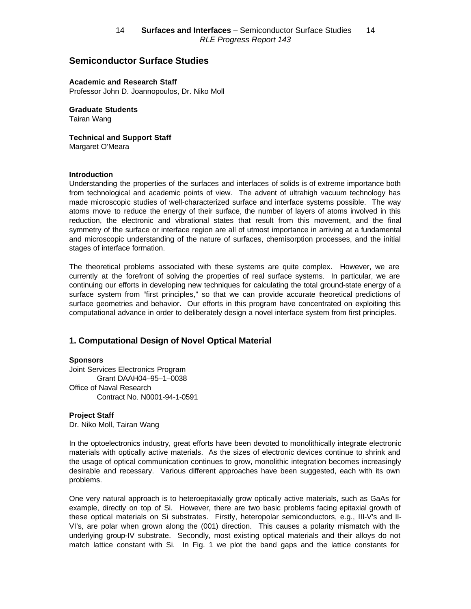# **Semiconductor Surface Studies**

**Academic and Research Staff** Professor John D. Joannopoulos, Dr. Niko Moll

**Graduate Students** Tairan Wang

**Technical and Support Staff** Margaret O'Meara

#### **Introduction**

Understanding the properties of the surfaces and interfaces of solids is of extreme importance both from technological and academic points of view. The advent of ultrahigh vacuum technology has made microscopic studies of well-characterized surface and interface systems possible. The way atoms move to reduce the energy of their surface, the number of layers of atoms involved in this reduction, the electronic and vibrational states that result from this movement, and the final symmetry of the surface or interface region are all of utmost importance in arriving at a fundamental and microscopic understanding of the nature of surfaces, chemisorption processes, and the initial stages of interface formation.

The theoretical problems associated with these systems are quite complex. However, we are currently at the forefront of solving the properties of real surface systems. In particular, we are continuing our efforts in developing new techniques for calculating the total ground-state energy of a surface system from "first principles," so that we can provide accurate theoretical predictions of surface geometries and behavior. Our efforts in this program have concentrated on exploiting this computational advance in order to deliberately design a novel interface system from first principles.

### **1. Computational Design of Novel Optical Material**

#### **Sponsors**

Joint Services Electronics Program Grant DAAH04–95–1–0038 Office of Naval Research Contract No. N0001-94-1-0591

#### **Project Staff**

Dr. Niko Moll, Tairan Wang

In the optoelectronics industry, great efforts have been devoted to monolithically integrate electronic materials with optically active materials. As the sizes of electronic devices continue to shrink and the usage of optical communication continues to grow, monolithic integration becomes increasingly desirable and necessary. Various different approaches have been suggested, each with its own problems.

One very natural approach is to heteroepitaxially grow optically active materials, such as GaAs for example, directly on top of Si. However, there are two basic problems facing epitaxial growth of these optical materials on Si substrates. Firstly, heteropolar semiconductors, e.g., III-V's and II-VI's, are polar when grown along the (001) direction. This causes a polarity mismatch with the underlying group-IV substrate. Secondly, most existing optical materials and their alloys do not match lattice constant with Si. In Fig. 1 we plot the band gaps and the lattice constants for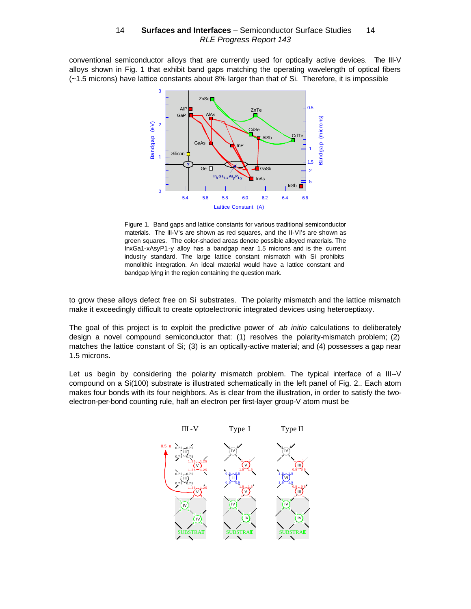conventional semiconductor alloys that are currently used for optically active devices. The III-V alloys shown in Fig. 1 that exhibit band gaps matching the operating wavelength of optical fibers (~1.5 microns) have lattice constants about 8% larger than that of Si. Therefore, it is impossible



Figure 1. Band gaps and lattice constants for various traditional semiconductor materials. The III-V's are shown as red squares, and the II-VI's are shown as green squares. The color-shaded areas denote possible alloyed materials. The InxGa1-xAsyP1-y alloy has a bandgap near 1.5 microns and is the current industry standard. The large lattice constant mismatch with Si prohibits monolithic integration. An ideal material would have a lattice constant and bandgap lying in the region containing the question mark.

to grow these alloys defect free on Si substrates. The polarity mismatch and the lattice mismatch make it exceedingly difficult to create optoelectronic integrated devices using heteroeptiaxy.

The goal of this project is to exploit the predictive power of *ab initio* calculations to deliberately design a novel compound semiconductor that: (1) resolves the polarity-mismatch problem; (2) matches the lattice constant of Si; (3) is an optically-active material; and (4) possesses a gap near 1.5 microns.

Let us begin by considering the polarity mismatch problem. The typical interface of a III--V compound on a Si(100) substrate is illustrated schematically in the left panel of Fig. 2.. Each atom makes four bonds with its four neighbors. As is clear from the illustration, in order to satisfy the twoelectron-per-bond counting rule, half an electron per first-layer group-V atom must be

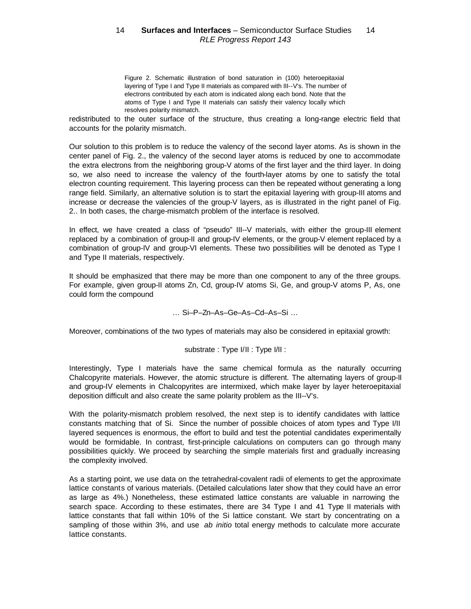Figure 2. Schematic illustration of bond saturation in (100) heteroepitaxial layering of Type I and Type II materials as compared with III--V's. The number of electrons contributed by each atom is indicated along each bond. Note that the atoms of Type I and Type II materials can satisfy their valency locally which resolves polarity mismatch.

redistributed to the outer surface of the structure, thus creating a long-range electric field that accounts for the polarity mismatch.

Our solution to this problem is to reduce the valency of the second layer atoms. As is shown in the center panel of Fig. 2., the valency of the second layer atoms is reduced by one to accommodate the extra electrons from the neighboring group-V atoms of the first layer and the third layer. In doing so, we also need to increase the valency of the fourth-layer atoms by one to satisfy the total electron counting requirement. This layering process can then be repeated without generating a long range field. Similarly, an alternative solution is to start the epitaxial layering with group-III atoms and increase or decrease the valencies of the group-V layers, as is illustrated in the right panel of Fig. 2.. In both cases, the charge-mismatch problem of the interface is resolved.

In effect, we have created a class of "pseudo" III--V materials, with either the group-III element replaced by a combination of group-II and group-IV elements, or the group-V element replaced by a combination of group-IV and group-VI elements. These two possibilities will be denoted as Type I and Type II materials, respectively.

It should be emphasized that there may be more than one component to any of the three groups. For example, given group-II atoms Zn, Cd, group-IV atoms Si, Ge, and group-V atoms P, As, one could form the compound

… Si–P–Zn–As–Ge–As–Cd–As–Si …

Moreover, combinations of the two types of materials may also be considered in epitaxial growth:

substrate : Type I/II : Type I/II :

Interestingly, Type I materials have the same chemical formula as the naturally occurring Chalcopyrite materials. However, the atomic structure is different. The alternating layers of group-II and group-IV elements in Chalcopyrites are intermixed, which make layer by layer heteroepitaxial deposition difficult and also create the same polarity problem as the III--V's.

With the polarity-mismatch problem resolved, the next step is to identify candidates with lattice constants matching that of Si. Since the number of possible choices of atom types and Type I/II layered sequences is enormous, the effort to build and test the potential candidates experimentally would be formidable. In contrast, first-principle calculations on computers can go through many possibilities quickly. We proceed by searching the simple materials first and gradually increasing the complexity involved.

As a starting point, we use data on the tetrahedral-covalent radii of elements to get the approximate lattice constants of various materials. (Detailed calculations later show that they could have an error as large as 4%.) Nonetheless, these estimated lattice constants are valuable in narrowing the search space. According to these estimates, there are 34 Type I and 41 Type II materials with lattice constants that fall within 10% of the Si lattice constant. We start by concentrating on a sampling of those within 3%, and use *ab initio* total energy methods to calculate more accurate lattice constants.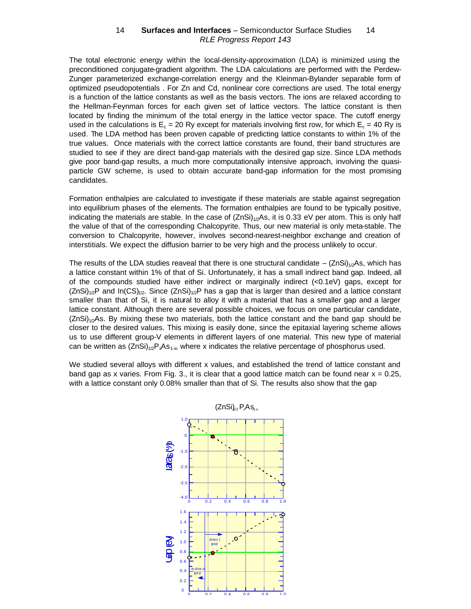#### 14 - Surfaces and Interfaces - Semiconductor Surface Studies - 14 RLE Progress Report 143

The total electronic energy within the local-density-approximation (LDA) is minimized using the preconditioned conjugate-gradient algorithm. The LDA calculations are performed with the Perdew-Zunger parameterized exchange-correlation energy and the Kleinman-Bylander separable form of optimized pseudopotentials . For Zn and Cd, nonlinear core corrections are used. The total energy is a function of the lattice constants as well as the basis vectors. The ions are relaxed according to the Hellman-Feynman forces for each given set of lattice vectors. The lattice constant is then located by finding the minimum of the total energy in the lattice vector space. The cutoff energy used in the calculations is  $E_c = 20$  Ry except for materials involving first row, for which  $E_c = 40$  Ry is used. The LDA method has been proven capable of predicting lattice constants to within 1% of the true values. Once materials with the correct lattice constants are found, their band structures are studied to see if they are direct band-gap materials with the desired gap size. Since LDA methods give poor band-gap results, a much more computationally intensive approach, involving the quasiparticle GW scheme, is used to obtain accurate band-gap information for the most promising candidates.

Formation enthalpies are calculated to investigate if these materials are stable against segregation into equilibrium phases of the elements. The formation enthalpies are found to be typically positive, indicating the materials are stable. In the case of  $(ZnSi)_{1/2}As$ , it is 0.33 eV per atom. This is only half the value of that of the corresponding Chalcopyrite. Thus, our new material is only meta-stable. The conversion to Chalcopyrite, however, involves second-nearest-neighbor exchange and creation of interstitials. We expect the diffusion barrier to be very high and the process unlikely to occur.

The results of the LDA studies reaveal that there is one structural candidate – (ZnSi)<sub>1/2</sub>As, which has a lattice constant within 1% of that of Si. Unfortunately, it has a small indirect band gap. Indeed, all of the compounds studied have either indirect or marginally indirect (<0.1eV) gaps, except for  $(2nSi)_{1/2}P$  and  $In(CS)_{1/2}$ . Since  $(2nSi)_{1/2}P$  has a gap that is larger than desired and a lattice constant smaller than that of Si, it is natural to alloy it with a material that has a smaller gap and a larger lattice constant. Although there are several possible choices, we focus on one particular candidate,  $(2nSi)<sub>1/2</sub>As. By mixing these two materials, both the lattice constant and the band gap should be$ closer to the desired values. This mixing is easily done, since the epitaxial layering scheme allows us to use different group-V elements in different layers of one material. This new type of material can be written as  $(ZnSi)_{1/2}P_{x}As_{1-x}$ , where x indicates the relative percentage of phosphorus used.

We studied several alloys with different x values, and established the trend of lattice constant and band gap as x varies. From Fig. 3., it is clear that a good lattice match can be found near  $x = 0.25$ , with a lattice constant only 0.08% smaller than that of Si. The results also show that the gap

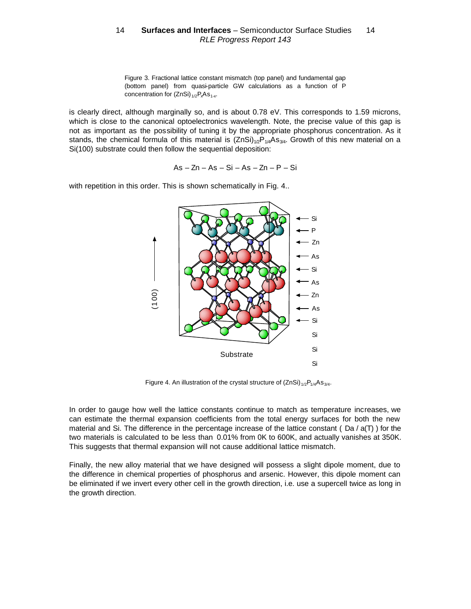Figure 3. Fractional lattice constant mismatch (top panel) and fundamental gap (bottom panel) from quasi-particle GW calculations as a function of P concentration for  $(ZnSi)_{1/2}P_xAs_{1-x}$ .

is clearly direct, although marginally so, and is about 0.78 eV. This corresponds to 1.59 microns, which is close to the canonical optoelectronics wavelength. Note, the precise value of this gap is not as important as the possibility of tuning it by the appropriate phosphorus concentration. As it stands, the chemical formula of this material is  $(ZnSi)_{1/2}P_{1/4}As_{3/4}$ . Growth of this new material on a Si(100) substrate could then follow the sequential deposition:

 $As - Zn - As - Si - As - Zn - P - Si$ 



with repetition in this order. This is shown schematically in Fig. 4..

Figure 4. An illustration of the crystal structure of  $(2nSi)_{1/2}P_{1/4}As_{3/4}$ .

In order to gauge how well the lattice constants continue to match as temperature increases, we can estimate the thermal expansion coefficients from the total energy surfaces for both the new material and Si. The difference in the percentage increase of the lattice constant ( $Da / a(T)$ ) for the two materials is calculated to be less than 0.01% from 0K to 600K, and actually vanishes at 350K. This suggests that thermal expansion will not cause additional lattice mismatch.

Finally, the new alloy material that we have designed will possess a slight dipole moment, due to the difference in chemical properties of phosphorus and arsenic. However, this dipole moment can be eliminated if we invert every other cell in the growth direction, i.e. use a supercell twice as long in the growth direction.